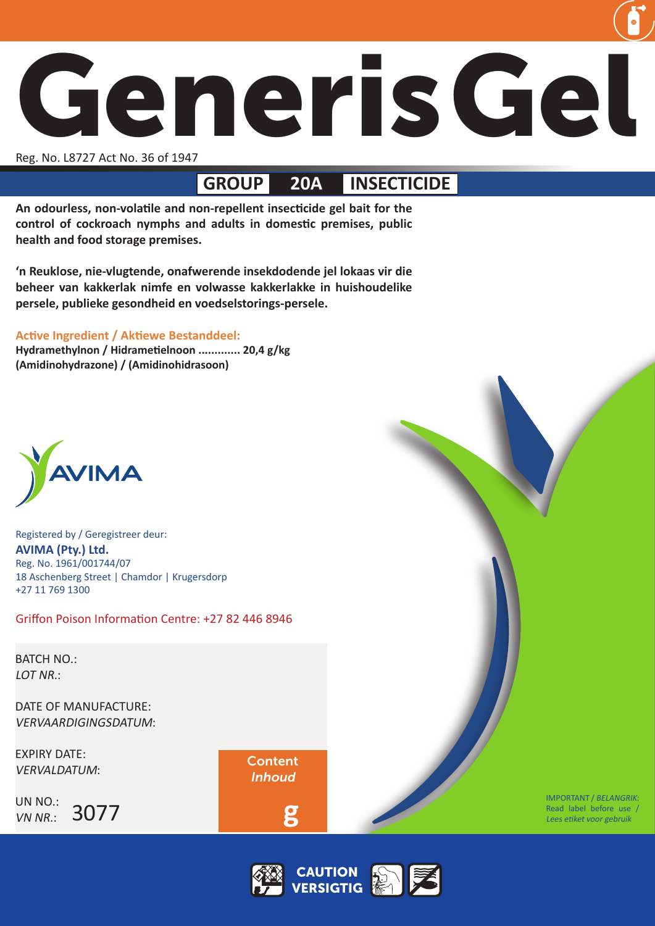

Reg. No. L8727 Act No. 36 of 1947

# **GROUP 20A INSECTICIDE**

**An odourless, non-volatile and non-repellent insecticide gel bait for the control of cockroach nymphs and adults in domestic premises, public health and food storage premises.**

**'n Reuklose, nie-vlugtende, onafwerende insekdodende jel lokaas vir die beheer van kakkerlak nimfe en volwasse kakkerlakke in huishoudelike persele, publieke gesondheid en voedselstorings-persele.**

# **Active Ingredient / Aktiewe Bestanddeel:**

**Hydramethylnon / Hidrametielnoon ............. 20,4 g/kg (Amidinohydrazone) / (Amidinohidrasoon)**



Registered by / Geregistreer deur: **AVIMA (Pty.) Ltd.** Reg. No. 1961/001744/07 18 Aschenberg Street | Chamdor | Krugersdorp +27 11 769 1300

Griffon Poison Information Centre: +27 82 446 8946

BATCH NO.: LOT NR.:

DATE OF MANUFACTURE: VERVAARDIGINGSDATUM:

EXPIRY DATE: VERVALDATUM:

UN NO.: VN NR.: 3077 Content Inhoud

 **g**



IMPORTANT / BELANGRIK: Read label before use / Lees etiket voor gebruik